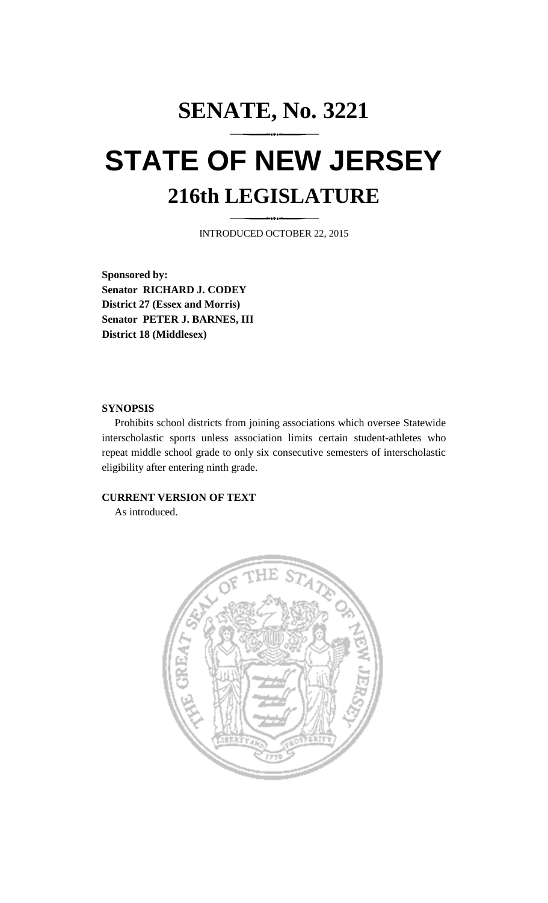# **SENATE, No. 3221 STATE OF NEW JERSEY 216th LEGISLATURE**

INTRODUCED OCTOBER 22, 2015

**Sponsored by: Senator RICHARD J. CODEY District 27 (Essex and Morris) Senator PETER J. BARNES, III District 18 (Middlesex)**

#### **SYNOPSIS**

Prohibits school districts from joining associations which oversee Statewide interscholastic sports unless association limits certain student-athletes who repeat middle school grade to only six consecutive semesters of interscholastic eligibility after entering ninth grade.

#### **CURRENT VERSION OF TEXT**

As introduced.